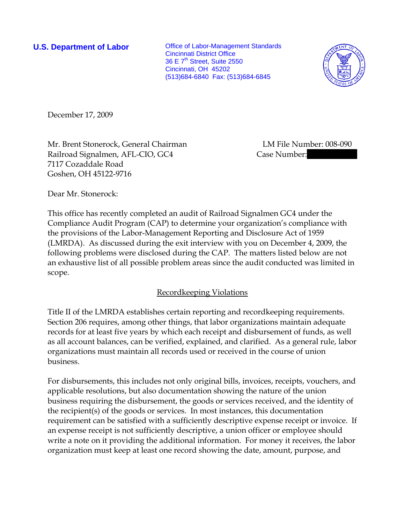**U.S. Department of Labor Conservative Conservative Conservative Conservative Conservative Conservative Conservative Conservative Conservative Conservative Conservative Conservative Conservative Conservative Conservative** Cincinnati District Office 36 E 7<sup>th</sup> Street, Suite 2550 Cincinnati, OH 45202 (513)684-6840 Fax: (513)684-6845



December 17, 2009

Mr. Brent Stonerock, General Chairman LM File Number: 008-090 Railroad Signalmen, AFL-CIO, GC4 Case Number: 7117 Cozaddale Road Goshen, OH 45122-9716

Dear Mr. Stonerock:

This office has recently completed an audit of Railroad Signalmen GC4 under the Compliance Audit Program (CAP) to determine your organization's compliance with the provisions of the Labor-Management Reporting and Disclosure Act of 1959 (LMRDA). As discussed during the exit interview with you on December 4, 2009, the following problems were disclosed during the CAP. The matters listed below are not an exhaustive list of all possible problem areas since the audit conducted was limited in scope.

## Recordkeeping Violations

Title II of the LMRDA establishes certain reporting and recordkeeping requirements. Section 206 requires, among other things, that labor organizations maintain adequate records for at least five years by which each receipt and disbursement of funds, as well as all account balances, can be verified, explained, and clarified. As a general rule, labor organizations must maintain all records used or received in the course of union business.

For disbursements, this includes not only original bills, invoices, receipts, vouchers, and applicable resolutions, but also documentation showing the nature of the union business requiring the disbursement, the goods or services received, and the identity of the recipient(s) of the goods or services. In most instances, this documentation requirement can be satisfied with a sufficiently descriptive expense receipt or invoice. If an expense receipt is not sufficiently descriptive, a union officer or employee should write a note on it providing the additional information. For money it receives, the labor organization must keep at least one record showing the date, amount, purpose, and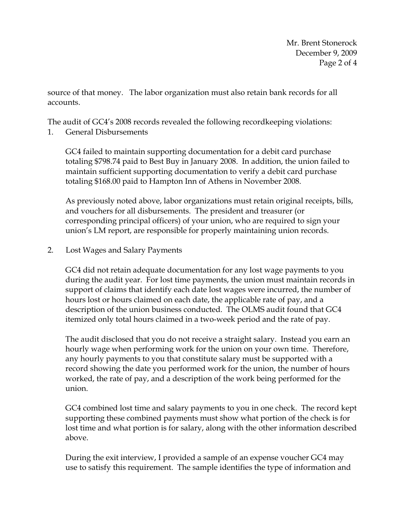source of that money. The labor organization must also retain bank records for all accounts.

The audit of GC4's 2008 records revealed the following recordkeeping violations:

1. General Disbursements

GC4 failed to maintain supporting documentation for a debit card purchase totaling \$798.74 paid to Best Buy in January 2008. In addition, the union failed to maintain sufficient supporting documentation to verify a debit card purchase totaling \$168.00 paid to Hampton Inn of Athens in November 2008.

As previously noted above, labor organizations must retain original receipts, bills, and vouchers for all disbursements. The president and treasurer (or corresponding principal officers) of your union, who are required to sign your union's LM report, are responsible for properly maintaining union records.

2. Lost Wages and Salary Payments

GC4 did not retain adequate documentation for any lost wage payments to you during the audit year. For lost time payments, the union must maintain records in support of claims that identify each date lost wages were incurred, the number of hours lost or hours claimed on each date, the applicable rate of pay, and a description of the union business conducted. The OLMS audit found that GC4 itemized only total hours claimed in a two-week period and the rate of pay.

The audit disclosed that you do not receive a straight salary. Instead you earn an hourly wage when performing work for the union on your own time. Therefore, any hourly payments to you that constitute salary must be supported with a record showing the date you performed work for the union, the number of hours worked, the rate of pay, and a description of the work being performed for the union.

GC4 combined lost time and salary payments to you in one check. The record kept supporting these combined payments must show what portion of the check is for lost time and what portion is for salary, along with the other information described above.

During the exit interview, I provided a sample of an expense voucher GC4 may use to satisfy this requirement. The sample identifies the type of information and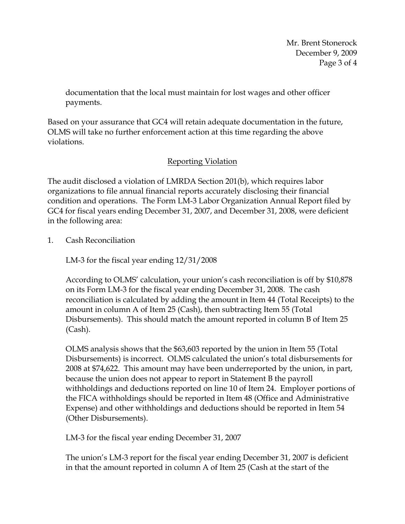Mr. Brent Stonerock December 9, 2009 Page 3 of 4

documentation that the local must maintain for lost wages and other officer payments.

Based on your assurance that GC4 will retain adequate documentation in the future, OLMS will take no further enforcement action at this time regarding the above violations.

## Reporting Violation

The audit disclosed a violation of LMRDA Section 201(b), which requires labor organizations to file annual financial reports accurately disclosing their financial condition and operations. The Form LM-3 Labor Organization Annual Report filed by GC4 for fiscal years ending December 31, 2007, and December 31, 2008, were deficient in the following area:

1. Cash Reconciliation

LM-3 for the fiscal year ending 12/31/2008

According to OLMS' calculation, your union's cash reconciliation is off by \$10,878 on its Form LM-3 for the fiscal year ending December 31, 2008. The cash reconciliation is calculated by adding the amount in Item 44 (Total Receipts) to the amount in column A of Item 25 (Cash), then subtracting Item 55 (Total Disbursements). This should match the amount reported in column B of Item 25 (Cash).

OLMS analysis shows that the \$63,603 reported by the union in Item 55 (Total Disbursements) is incorrect. OLMS calculated the union's total disbursements for 2008 at \$74,622. This amount may have been underreported by the union, in part, because the union does not appear to report in Statement B the payroll withholdings and deductions reported on line 10 of Item 24. Employer portions of the FICA withholdings should be reported in Item 48 (Office and Administrative Expense) and other withholdings and deductions should be reported in Item 54 (Other Disbursements).

LM-3 for the fiscal year ending December 31, 2007

The union's LM-3 report for the fiscal year ending December 31, 2007 is deficient in that the amount reported in column A of Item 25 (Cash at the start of the